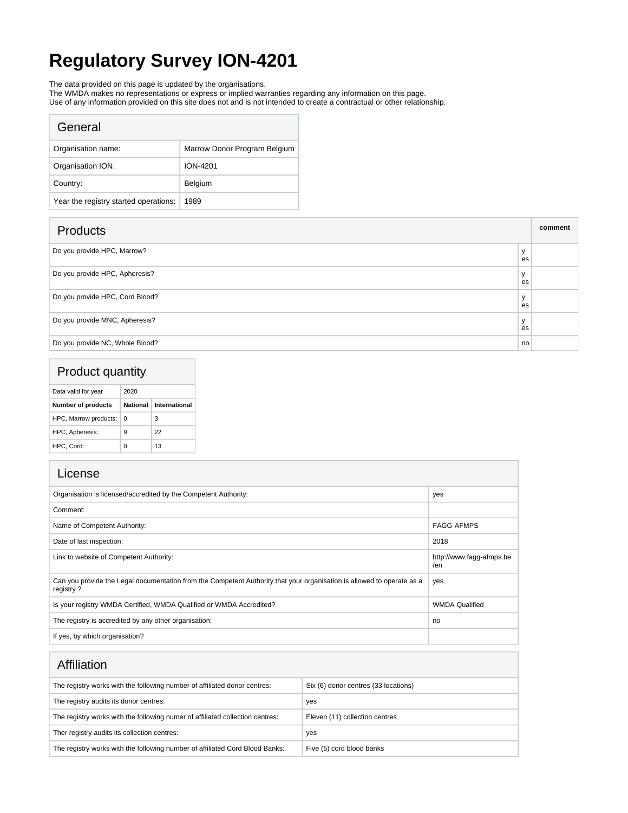# **Regulatory Survey ION-4201**

The data provided on this page is updated by the organisations.

The WMDA makes no representations or express or implied warranties regarding any information on this page.

Use of any information provided on this site does not and is not intended to create a contractual or other relationship.

| General                               |                              |
|---------------------------------------|------------------------------|
| Organisation name:                    | Marrow Donor Program Belgium |
| Organisation ION:                     | ION-4201                     |
| Country:                              | Belgium                      |
| Year the registry started operations: | 1989                         |

| <b>Products</b>                 |         | comment |
|---------------------------------|---------|---------|
| Do you provide HPC, Marrow?     | es      |         |
| Do you provide HPC, Apheresis?  | у<br>es |         |
| Do you provide HPC, Cord Blood? | у<br>es |         |
| Do you provide MNC, Apheresis?  | у<br>es |         |
| Do you provide NC, Whole Blood? | no      |         |

| Product quantity |  |
|------------------|--|
|------------------|--|

| Data valid for year   | 2020            |               |  |  |
|-----------------------|-----------------|---------------|--|--|
| Number of products    | <b>National</b> | International |  |  |
| HPC, Marrow products: | 0               | 3             |  |  |
| HPC, Apheresis:       | 9               | 22            |  |  |
| HPC. Cord:            | ŋ               | 13            |  |  |

| License                                                                                                                             |                                 |
|-------------------------------------------------------------------------------------------------------------------------------------|---------------------------------|
| Organisation is licensed/accredited by the Competent Authority:                                                                     | yes                             |
| Comment:                                                                                                                            |                                 |
| Name of Competent Authority:                                                                                                        | <b>FAGG-AFMPS</b>               |
| Date of last inspection:                                                                                                            | 2018                            |
| Link to website of Competent Authority:                                                                                             | http://www.fagg-afmps.be<br>/en |
| Can you provide the Legal documentation from the Competent Authority that your organisation is allowed to operate as a<br>registry? | yes                             |
| Is your registry WMDA Certified, WMDA Qualified or WMDA Accredited?                                                                 | <b>WMDA Qualified</b>           |
| The registry is accredited by any other organisation:                                                                               | no                              |
| If yes, by which organisation?                                                                                                      |                                 |

| Affiliation                                                                   |                                      |
|-------------------------------------------------------------------------------|--------------------------------------|
| The registry works with the following number of affiliated donor centres:     | Six (6) donor centres (33 locations) |
| The registry audits its donor centres:                                        | yes                                  |
| The registry works with the following numer of affiliated collection centres: | Eleven (11) collection centres       |
| Ther registry audits its collection centres:                                  | yes                                  |
| The registry works with the following number of affiliated Cord Blood Banks:  | Five (5) cord blood banks            |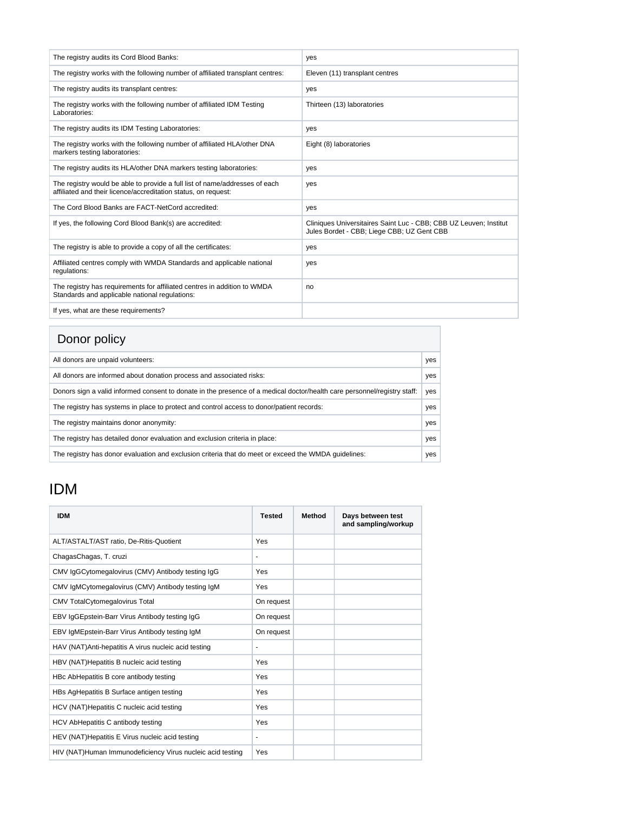| The registry audits its Cord Blood Banks:                                                                                                     | yes                                                                                                             |
|-----------------------------------------------------------------------------------------------------------------------------------------------|-----------------------------------------------------------------------------------------------------------------|
| The registry works with the following number of affiliated transplant centres:                                                                | Eleven (11) transplant centres                                                                                  |
| The registry audits its transplant centres:                                                                                                   | yes                                                                                                             |
| The registry works with the following number of affiliated IDM Testing<br>Laboratories:                                                       | Thirteen (13) laboratories                                                                                      |
| The registry audits its IDM Testing Laboratories:                                                                                             | yes                                                                                                             |
| The registry works with the following number of affiliated HLA/other DNA<br>markers testing laboratories:                                     | Eight (8) laboratories                                                                                          |
| The registry audits its HLA/other DNA markers testing laboratories:                                                                           | yes                                                                                                             |
| The registry would be able to provide a full list of name/addresses of each<br>affiliated and their licence/accreditation status, on request: | yes                                                                                                             |
| The Cord Blood Banks are FACT-NetCord accredited:                                                                                             | yes                                                                                                             |
| If yes, the following Cord Blood Bank(s) are accredited:                                                                                      | Cliniques Universitaires Saint Luc - CBB; CBB UZ Leuven; Institut<br>Jules Bordet - CBB; Liege CBB; UZ Gent CBB |
| The registry is able to provide a copy of all the certificates:                                                                               | yes                                                                                                             |
| Affiliated centres comply with WMDA Standards and applicable national<br>regulations:                                                         | yes                                                                                                             |
| The registry has requirements for affiliated centres in addition to WMDA<br>Standards and applicable national regulations:                    | no                                                                                                              |
| If yes, what are these requirements?                                                                                                          |                                                                                                                 |

# Donor policy

| All donors are unpaid volunteers:                                                                                        | yes |
|--------------------------------------------------------------------------------------------------------------------------|-----|
| All donors are informed about donation process and associated risks:                                                     | yes |
| Donors sign a valid informed consent to donate in the presence of a medical doctor/health care personnel/registry staff: | yes |
| The registry has systems in place to protect and control access to donor/patient records:                                | yes |
| The registry maintains donor anonymity:                                                                                  | yes |
| The registry has detailed donor evaluation and exclusion criteria in place:                                              | yes |
| The registry has donor evaluation and exclusion criteria that do meet or exceed the WMDA quidelines:                     | yes |

# IDM

| <b>IDM</b>                                                 | <b>Tested</b>            | <b>Method</b> | Days between test<br>and sampling/workup |
|------------------------------------------------------------|--------------------------|---------------|------------------------------------------|
| ALT/ASTALT/AST ratio, De-Ritis-Quotient                    | Yes                      |               |                                          |
| ChagasChagas, T. cruzi                                     | ٠                        |               |                                          |
| CMV IgGCytomegalovirus (CMV) Antibody testing IgG          | Yes                      |               |                                          |
| CMV IgMCytomegalovirus (CMV) Antibody testing IgM          | Yes                      |               |                                          |
| <b>CMV TotalCytomegalovirus Total</b>                      | On request               |               |                                          |
| EBV IgGEpstein-Barr Virus Antibody testing IgG             | On request               |               |                                          |
| EBV IgMEpstein-Barr Virus Antibody testing IgM             | On request               |               |                                          |
| HAV (NAT) Anti-hepatitis A virus nucleic acid testing      | $\overline{\phantom{0}}$ |               |                                          |
| HBV (NAT) Hepatitis B nucleic acid testing                 | Yes                      |               |                                          |
| HBc AbHepatitis B core antibody testing                    | Yes                      |               |                                          |
| HBs AgHepatitis B Surface antigen testing                  | Yes                      |               |                                          |
| HCV (NAT) Hepatitis C nucleic acid testing                 | Yes                      |               |                                          |
| HCV AbHepatitis C antibody testing                         | Yes                      |               |                                          |
| HEV (NAT) Hepatitis E Virus nucleic acid testing           | -                        |               |                                          |
| HIV (NAT)Human Immunodeficiency Virus nucleic acid testing | Yes                      |               |                                          |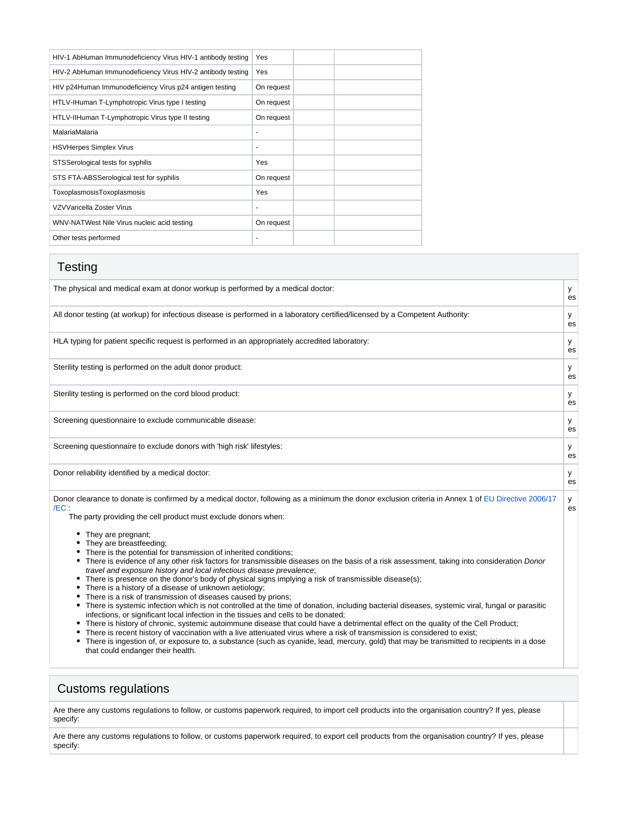| HIV-1 AbHuman Immunodeficiency Virus HIV-1 antibody testing | Yes                      |  |
|-------------------------------------------------------------|--------------------------|--|
| HIV-2 AbHuman Immunodeficiency Virus HIV-2 antibody testing | Yes                      |  |
| HIV p24Human Immunodeficiency Virus p24 antigen testing     | On request               |  |
| HTLV-IHuman T-Lymphotropic Virus type I testing             | On request               |  |
| HTLV-IIHuman T-Lymphotropic Virus type II testing           | On request               |  |
| MalariaMalaria                                              | $\blacksquare$           |  |
| <b>HSVHerpes Simplex Virus</b>                              | $\overline{\phantom{a}}$ |  |
| STSSerological tests for syphilis                           | Yes                      |  |
| STS FTA-ABSSerological test for syphilis                    | On request               |  |
| ToxoplasmosisToxoplasmosis                                  | Yes                      |  |
| VZVVaricella Zoster Virus                                   | $\overline{\phantom{a}}$ |  |
| WNV-NATWest Nile Virus nucleic acid testing                 | On request               |  |
| Other tests performed                                       | ٠                        |  |

| The physical and medical exam at donor workup is performed by a medical doctor:<br>У                                                                                                                                                                                                                                                                                                                                                                                                                                                                                                                                                                                                                                                                                                                                                                                                                                                                                                                                                                                                                                                                                                                                                                                                                                                                                                                                                                                                     |    |
|------------------------------------------------------------------------------------------------------------------------------------------------------------------------------------------------------------------------------------------------------------------------------------------------------------------------------------------------------------------------------------------------------------------------------------------------------------------------------------------------------------------------------------------------------------------------------------------------------------------------------------------------------------------------------------------------------------------------------------------------------------------------------------------------------------------------------------------------------------------------------------------------------------------------------------------------------------------------------------------------------------------------------------------------------------------------------------------------------------------------------------------------------------------------------------------------------------------------------------------------------------------------------------------------------------------------------------------------------------------------------------------------------------------------------------------------------------------------------------------|----|
|                                                                                                                                                                                                                                                                                                                                                                                                                                                                                                                                                                                                                                                                                                                                                                                                                                                                                                                                                                                                                                                                                                                                                                                                                                                                                                                                                                                                                                                                                          | es |
| All donor testing (at workup) for infectious disease is performed in a laboratory certified/licensed by a Competent Authority:<br>У                                                                                                                                                                                                                                                                                                                                                                                                                                                                                                                                                                                                                                                                                                                                                                                                                                                                                                                                                                                                                                                                                                                                                                                                                                                                                                                                                      | es |
| HLA typing for patient specific request is performed in an appropriately accredited laboratory:<br>У                                                                                                                                                                                                                                                                                                                                                                                                                                                                                                                                                                                                                                                                                                                                                                                                                                                                                                                                                                                                                                                                                                                                                                                                                                                                                                                                                                                     | es |
| Sterility testing is performed on the adult donor product:<br>у                                                                                                                                                                                                                                                                                                                                                                                                                                                                                                                                                                                                                                                                                                                                                                                                                                                                                                                                                                                                                                                                                                                                                                                                                                                                                                                                                                                                                          | es |
| Sterility testing is performed on the cord blood product:<br>У                                                                                                                                                                                                                                                                                                                                                                                                                                                                                                                                                                                                                                                                                                                                                                                                                                                                                                                                                                                                                                                                                                                                                                                                                                                                                                                                                                                                                           | es |
| Screening questionnaire to exclude communicable disease:<br>y                                                                                                                                                                                                                                                                                                                                                                                                                                                                                                                                                                                                                                                                                                                                                                                                                                                                                                                                                                                                                                                                                                                                                                                                                                                                                                                                                                                                                            | es |
| Screening questionnaire to exclude donors with 'high risk' lifestyles:<br>у                                                                                                                                                                                                                                                                                                                                                                                                                                                                                                                                                                                                                                                                                                                                                                                                                                                                                                                                                                                                                                                                                                                                                                                                                                                                                                                                                                                                              | es |
| Donor reliability identified by a medical doctor:<br>У                                                                                                                                                                                                                                                                                                                                                                                                                                                                                                                                                                                                                                                                                                                                                                                                                                                                                                                                                                                                                                                                                                                                                                                                                                                                                                                                                                                                                                   | es |
| Donor clearance to donate is confirmed by a medical doctor, following as a minimum the donor exclusion criteria in Annex 1 of EU Directive 2006/17<br>У<br>$/EC$ :<br>The party providing the cell product must exclude donors when:<br>• They are pregnant;<br>They are breastfeeding;<br>There is the potential for transmission of inherited conditions;<br>• There is evidence of any other risk factors for transmissible diseases on the basis of a risk assessment, taking into consideration Donor<br>travel and exposure history and local infectious disease prevalence;<br>• There is presence on the donor's body of physical signs implying a risk of transmissible disease(s);<br>There is a history of a disease of unknown aetiology;<br>There is a risk of transmission of diseases caused by prions;<br>• There is systemic infection which is not controlled at the time of donation, including bacterial diseases, systemic viral, fungal or parasitic<br>infections, or significant local infection in the tissues and cells to be donated;<br>There is history of chronic, systemic autoimmune disease that could have a detrimental effect on the quality of the Cell Product;<br>There is recent history of vaccination with a live attenuated virus where a risk of transmission is considered to exist;<br>$\bullet$ There is ingestion of, or exposure to, a substance (such as cyanide, lead, mercury, gold) that may be transmitted to recipients in a dose | es |

#### There is ingestion of, or exposure to, a substance (such as cyanide, lead, mercury, gold) that may be transmitted to recipients in a dose that could endanger their health.

## Customs regulations

Are there any customs regulations to follow, or customs paperwork required, to import cell products into the organisation country? If yes, please specify:

Are there any customs regulations to follow, or customs paperwork required, to export cell products from the organisation country? If yes, please specify: